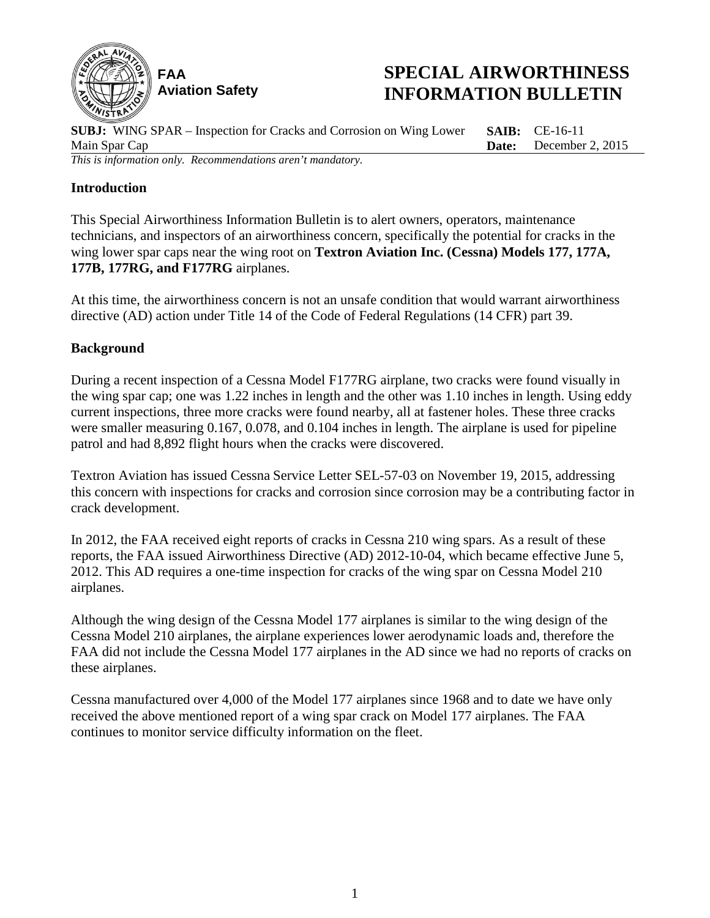

# **SPECIAL AIRWORTHINESS INFORMATION BULLETIN**

**SUBJ:** WING SPAR – Inspection for Cracks and Corrosion on Wing Lower Main Spar Cap **SAIB:** CE-16-11 **Date:** December 2, 2015 *This is information only. Recommendations aren't mandatory.*

# **Introduction**

This Special Airworthiness Information Bulletin is to alert owners, operators, maintenance technicians, and inspectors of an airworthiness concern, specifically the potential for cracks in the wing lower spar caps near the wing root on **Textron Aviation Inc. (Cessna) Models 177, 177A, 177B, 177RG, and F177RG** airplanes.

At this time, the airworthiness concern is not an unsafe condition that would warrant airworthiness directive (AD) action under Title 14 of the Code of Federal Regulations (14 CFR) part 39.

## **Background**

During a recent inspection of a Cessna Model F177RG airplane, two cracks were found visually in the wing spar cap; one was 1.22 inches in length and the other was 1.10 inches in length. Using eddy current inspections, three more cracks were found nearby, all at fastener holes. These three cracks were smaller measuring 0.167, 0.078, and 0.104 inches in length. The airplane is used for pipeline patrol and had 8,892 flight hours when the cracks were discovered.

Textron Aviation has issued Cessna Service Letter SEL-57-03 on November 19, 2015, addressing this concern with inspections for cracks and corrosion since corrosion may be a contributing factor in crack development.

In 2012, the FAA received eight reports of cracks in Cessna 210 wing spars. As a result of these reports, the FAA issued Airworthiness Directive (AD) 2012-10-04, which became effective June 5, 2012. This AD requires a one-time inspection for cracks of the wing spar on Cessna Model 210 airplanes.

Although the wing design of the Cessna Model 177 airplanes is similar to the wing design of the Cessna Model 210 airplanes, the airplane experiences lower aerodynamic loads and, therefore the FAA did not include the Cessna Model 177 airplanes in the AD since we had no reports of cracks on these airplanes.

Cessna manufactured over 4,000 of the Model 177 airplanes since 1968 and to date we have only received the above mentioned report of a wing spar crack on Model 177 airplanes. The FAA continues to monitor service difficulty information on the fleet.